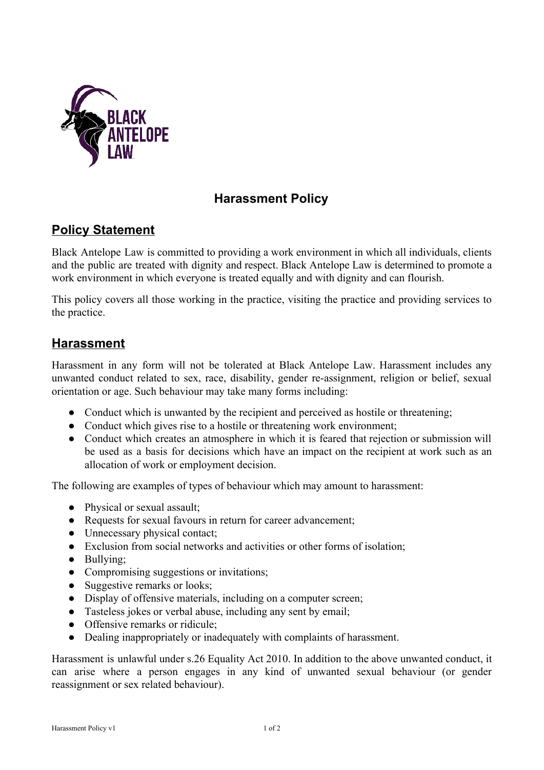

## **Harassment Policy**

### **Policy Statement**

Black Antelope Law is committed to providing a work environment in which all individuals, clients and the public are treated with dignity and respect. Black Antelope Law is determined to promote a work environment in which everyone is treated equally and with dignity and can flourish.

This policy covers all those working in the practice, visiting the practice and providing services to the practice.

#### **Harassment**

Harassment in any form will not be tolerated at Black Antelope Law. Harassment includes any unwanted conduct related to sex, race, disability, gender re-assignment, religion or belief, sexual orientation or age. Such behaviour may take many forms including:

- Conduct which is unwanted by the recipient and perceived as hostile or threatening;
- Conduct which gives rise to a hostile or threatening work environment;
- Conduct which creates an atmosphere in which it is feared that rejection or submission will be used as a basis for decisions which have an impact on the recipient at work such as an allocation of work or employment decision.

The following are examples of types of behaviour which may amount to harassment:

- Physical or sexual assault;
- Requests for sexual favours in return for career advancement;
- Unnecessary physical contact;
- Exclusion from social networks and activities or other forms of isolation;
- Bullying;
- Compromising suggestions or invitations;
- Suggestive remarks or looks;
- Display of offensive materials, including on a computer screen;
- Tasteless jokes or verbal abuse, including any sent by email;
- Offensive remarks or ridicule;
- Dealing inappropriately or inadequately with complaints of harassment.

Harassment is unlawful under s.26 Equality Act 2010. In addition to the above unwanted conduct, it can arise where a person engages in any kind of unwanted sexual behaviour (or gender reassignment or sex related behaviour).